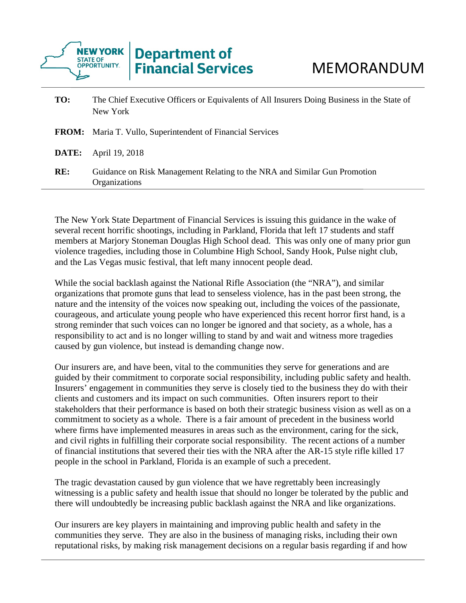

| TO: | The Chief Executive Officers or Equivalents of All Insurers Doing Business in the State of<br>New York |
|-----|--------------------------------------------------------------------------------------------------------|
|     | <b>FROM:</b> Maria T. Vullo, Superintendent of Financial Services                                      |
|     | <b>DATE:</b> April 19, 2018                                                                            |
| RE: | Guidance on Risk Management Relating to the NRA and Similar Gun Promotion<br>Organizations             |

The New York State Department of Financial Services is issuing this guidance in the wake of several recent horrific shootings, including in Parkland, Florida that left 17 students and staff members at Marjory Stoneman Douglas High School dead. This was only one of many prior gun violence tragedies, including those in Columbine High School, Sandy Hook, Pulse night club, and the Las Vegas music festival, that left many innocent people dead.

While the social backlash against the National Rifle Association (the "NRA"), and similar organizations that promote guns that lead to senseless violence, has in the past been strong, the nature and the intensity of the voices now speaking out, including the voices of the passionate, courageous, and articulate young people who have experienced this recent horror first hand, is a strong reminder that such voices can no longer be ignored and that society, as a whole, has a responsibility to act and is no longer willing to stand by and wait and witness more tragedies caused by gun violence, but instead is demanding change now.

Our insurers are, and have been, vital to the communities they serve for generations and are guided by their commitment to corporate social responsibility, including public safety and health. Insurers' engagement in communities they serve is closely tied to the business they do with their clients and customers and its impact on such communities. Often insurers report to their stakeholders that their performance is based on both their strategic business vision as well as on a commitment to society as a whole. There is a fair amount of precedent in the business world where firms have implemented measures in areas such as the environment, caring for the sick, and civil rights in fulfilling their corporate social responsibility. The recent actions of a number of financial institutions that severed their ties with the NRA after the AR-15 style rifle killed 17 people in the school in Parkland, Florida is an example of such a precedent.

The tragic devastation caused by gun violence that we have regrettably been increasingly witnessing is a public safety and health issue that should no longer be tolerated by the public and there will undoubtedly be increasing public backlash against the NRA and like organizations.

Our insurers are key players in maintaining and improving public health and safety in the communities they serve. They are also in the business of managing risks, including their own reputational risks, by making risk management decisions on a regular basis regarding if and how